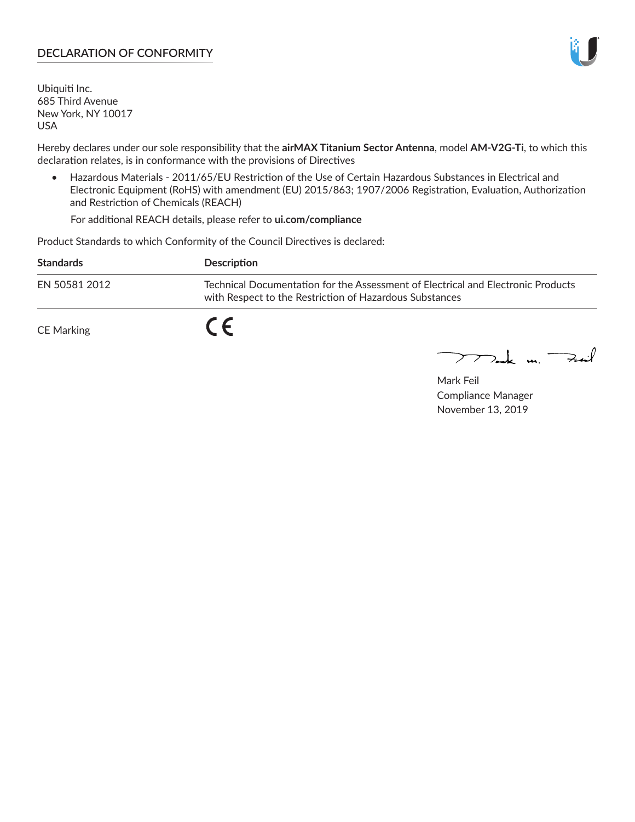### **DECLARATION OF CONFORMITY**

Ubiquiti Inc. 685 Third Avenue New York, NY 10017 USA

Hereby declares under our sole responsibility that the **airMAX Titanium Sector Antenna**, model **AM-V2G-Ti**, to which this declaration relates, is in conformance with the provisions of Directives

• Hazardous Materials - 2011/65/EU Restriction of the Use of Certain Hazardous Substances in Electrical and Electronic Equipment (RoHS) with amendment (EU) 2015/863; 1907/2006 Registration, Evaluation, Authorization and Restriction of Chemicals (REACH)

For additional REACH details, please refer to **ui.com/compliance**

Product Standards to which Conformity of the Council Directives is declared:

| <b>Standards</b> | <b>Description</b>                                                                                                                          |
|------------------|---------------------------------------------------------------------------------------------------------------------------------------------|
| EN 50581 2012    | Technical Documentation for the Assessment of Electrical and Electronic Products<br>with Respect to the Restriction of Hazardous Substances |
| CE Marking       |                                                                                                                                             |

 $\sum_{n=1}^{\infty}$  un  $\sum_{n=1}^{\infty}$ 

Mark Feil Compliance Manager November 13, 2019

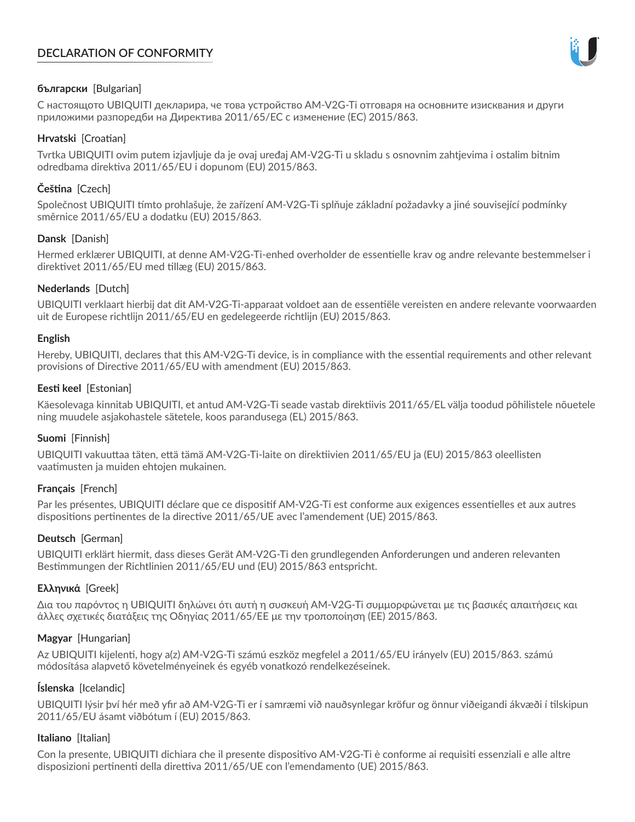# **DECLARATION OF CONFORMITY**



## **български** [Bulgarian]

С настоящото UBIQUITI декларира, че това устройство AM-V2G-Ti отговаря на основните изисквания и други приложими разпоредби на Директива 2011/65/ЕС с изменение (ЕС) 2015/863.

### **Hrvatski** [Croatian]

Tvrtka UBIQUITI ovim putem izjavljuje da je ovaj uređaj AM-V2G-Ti u skladu s osnovnim zahtjevima i ostalim bitnim odredbama direktiva 2011/65/EU i dopunom (EU) 2015/863.

# **Čeština** [Czech]

Společnost UBIQUITI tímto prohlašuje, že zařízení AM-V2G-Ti splňuje základní požadavky a jiné související podmínky směrnice 2011/65/EU a dodatku (EU) 2015/863.

### **Dansk** [Danish]

Hermed erklærer UBIQUITI, at denne AM-V2G-Ti-enhed overholder de essentielle krav og andre relevante bestemmelser i direktivet 2011/65/EU med tillæg (EU) 2015/863.

### **Nederlands** [Dutch]

UBIQUITI verklaart hierbij dat dit AM-V2G-Ti-apparaat voldoet aan de essentiële vereisten en andere relevante voorwaarden uit de Europese richtlijn 2011/65/EU en gedelegeerde richtlijn (EU) 2015/863.

#### **English**

Hereby, UBIQUITI, declares that this AM-V2G-Ti device, is in compliance with the essential requirements and other relevant provisions of Directive 2011/65/EU with amendment (EU) 2015/863.

### **Eesti keel** [Estonian]

Käesolevaga kinnitab UBIQUITI, et antud AM-V2G-Ti seade vastab direktiivis 2011/65/EL välja toodud põhilistele nõuetele ning muudele asjakohastele sätetele, koos parandusega (EL) 2015/863.

## **Suomi** [Finnish]

UBIQUITI vakuuttaa täten, että tämä AM-V2G-Ti-laite on direktiivien 2011/65/EU ja (EU) 2015/863 oleellisten vaatimusten ja muiden ehtojen mukainen.

#### **Français** [French]

Par les présentes, UBIQUITI déclare que ce dispositif AM-V2G-Ti est conforme aux exigences essentielles et aux autres dispositions pertinentes de la directive 2011/65/UE avec l'amendement (UE) 2015/863.

## **Deutsch** [German]

UBIQUITI erklärt hiermit, dass dieses Gerät AM-V2G-Ti den grundlegenden Anforderungen und anderen relevanten Bestimmungen der Richtlinien 2011/65/EU und (EU) 2015/863 entspricht.

#### **Ελληνικά** [Greek]

Δια του παρόντος η UBIQUITI δηλώνει ότι αυτή η συσκευή AM-V2G-Ti συμμορφώνεται με τις βασικές απαιτήσεις και άλλες σχετικές διατάξεις της Οδηγίας 2011/65/ΕΕ με την τροποποίηση (ΕΕ) 2015/863.

## **Magyar** [Hungarian]

Az UBIQUITI kijelenti, hogy a(z) AM-V2G-Ti számú eszköz megfelel a 2011/65/EU irányelv (EU) 2015/863. számú módosítása alapvető követelményeinek és egyéb vonatkozó rendelkezéseinek.

#### **Íslenska** [Icelandic]

UBIQUITI lýsir því hér með yfir að AM-V2G-Ti er í samræmi við nauðsynlegar kröfur og önnur viðeigandi ákvæði í tilskipun 2011/65/EU ásamt viðbótum í (EU) 2015/863.

#### **Italiano** [Italian]

Con la presente, UBIQUITI dichiara che il presente dispositivo AM-V2G-Ti è conforme ai requisiti essenziali e alle altre disposizioni pertinenti della direttiva 2011/65/UE con l'emendamento (UE) 2015/863.